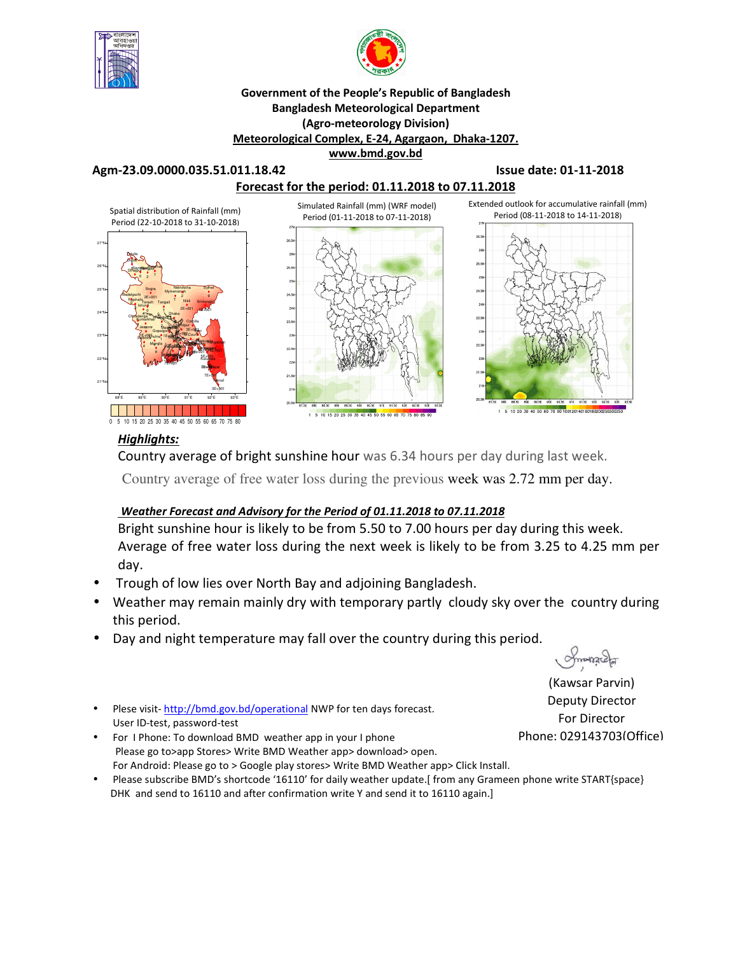



### **Government of the People's Republic of Bangladesh Bangladesh Meteorological Department (Agro-meteorology Division) Meteorological Complex, E-24, Agargaon, Dhaka-1207. www.bmd.gov.bd**

#### **Agm-23.09.0000.035.51.011.18.42 Issue date: 01-11-2018**



## *Highlights:*

Country average of bright sunshine hour was 6.34 hours per day during last week.

Country average of free water loss during the previous week was 2.72 mm per day.

## *Weather Forecast and Advisory for the Period of 01.11.2018 to 07.11.2018*

Bright sunshine hour is likely to be from 5.50 to 7.00 hours per day during this week. Average of free water loss during the next week is likely to be from 3.25 to 4.25 mm per day.

- Trough of low lies over North Bay and adjoining Bangladesh.
- Weather may remain mainly dry with temporary partly cloudy sky over the country during this period.
- Day and night temperature may fall over the country during this period.

 $Q$ manacha

(Kawsar Parvin) Deputy Director For Director Phone: 029143703(Office)

- Plese visit- http://bmd.gov.bd/operational NWP for ten days forecast. User ID-test, password-test
- For I Phone: To download BMD weather app in your I phone Please go to>app Stores> Write BMD Weather app> download> open. For Android: Please go to > Google play stores> Write BMD Weather app> Click Install.
- Please subscribe BMD's shortcode '16110' for daily weather update.[ from any Grameen phone write START{space} DHK and send to 16110 and after confirmation write Y and send it to 16110 again.]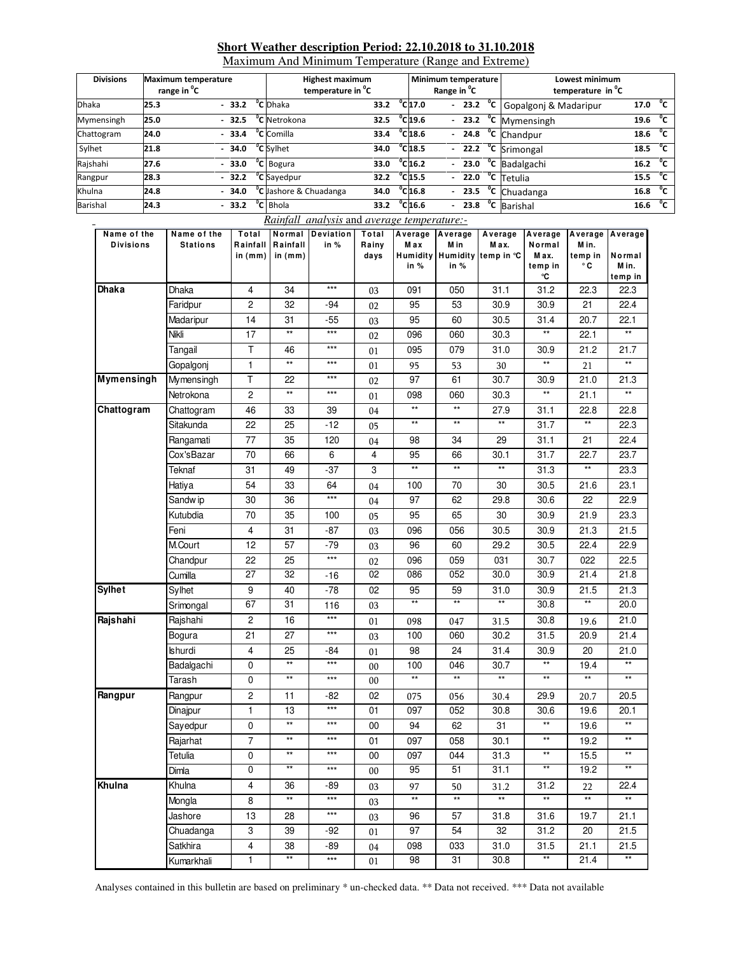#### **Short Weather description Period: 22.10.2018 to 31.10.2018**

Maximum And Minimum Temperature (Range and Extreme)

| <b>Divisions</b> | <b>Maximum temperature</b><br>range in <sup>o</sup> C |         | <b>Highest maximum</b><br>temperature in <sup>o</sup> C |      |  | Minimum temperature<br>Range in <sup>o</sup> C |  |  | Lowest minimum<br>temperature in <sup>o</sup> C |      |              |
|------------------|-------------------------------------------------------|---------|---------------------------------------------------------|------|--|------------------------------------------------|--|--|-------------------------------------------------|------|--------------|
| <b>Dhaka</b>     | 25.3                                                  | $-33.2$ | <sup>o</sup> C Dhaka                                    | 33.2 |  | $^{\circ}$ C 17.0                              |  |  | - 23.2 °C Gopalgonj & Madaripur                 | 17.0 | °c           |
| Mymensingh       | 25.0                                                  | $-32.5$ | <sup>o</sup> C Netrokona                                | 32.5 |  | $^{\circ}$ C 19.6                              |  |  | $-$ 23.2 $\degree$ C Mymensingh                 | 19.6 | °c           |
| Chattogram       | 24.0                                                  | $-33.4$ | <sup>o</sup> C Comilla                                  | 33.4 |  | $^{\circ}$ C <sub>18.6</sub>                   |  |  | $-24.8$ <sup>o</sup> C Chandpur                 | 18.6 | °c           |
| Sylhet           | 21.8                                                  | $-34.0$ | <sup>o</sup> C Svlhet                                   | 34.0 |  | $^{\circ}$ C <sub>18.5</sub>                   |  |  | $-$ 22.2 $^{\circ}$ C Srimongal                 | 18.5 | ັ′           |
| Rajshahi         | 27.6                                                  | $-33.0$ | $\overline{C}$ Bogura                                   | 33.0 |  | $^{\circ}$ C <sub>16.2</sub>                   |  |  | $-$ 23.0 $^{\circ}$ C Badalgachi                | 16.2 | $^{\circ}$ c |
| Rangpur          | 28.3                                                  | $-32.2$ | <sup>o</sup> C Sayedpur                                 | 32.2 |  | $^{\circ}$ C <sub>15.5</sub>                   |  |  | $-22.0 °C$ Tetulia                              | 15.5 | $^0$ C       |
| Khulna           | 24.8                                                  | $-34.0$ | <sup>o</sup> C Jashore & Chuadanga                      | 34.0 |  | $^{\circ}$ C <sub>16.8</sub>                   |  |  | - $23.5 °C$ Chuadanga                           | 16.8 | $^{\circ}$ c |
| Barishal         | 24.3                                                  | $-33.2$ | <sup>o</sup> C Bhola                                    | 33.2 |  | $^{\circ}$ C <sub>16.6</sub>                   |  |  | $23.8 °C$ Barishal                              | 16.6 | $^{\circ}$ c |

 *Rainfall analysis* and *average temperature:-*

| Name of the       | Name of the     | Total                   |                       | Normal Deviation | Total         | Average Average<br>Max | M in            | Average<br>M ax.             | Average                 | Average Average<br>M in. |                      |
|-------------------|-----------------|-------------------------|-----------------------|------------------|---------------|------------------------|-----------------|------------------------------|-------------------------|--------------------------|----------------------|
| <b>Divisions</b>  | <b>Stations</b> | Rainfall<br>in (mm)     | Rainfall<br>in $(mm)$ | in %             | Rainy<br>days |                        |                 | Humidity Humidity temp in °C | Normal<br>M ax.         | temp in                  | Normal               |
|                   |                 |                         |                       |                  |               | in %                   | in %            |                              | temp in                 | ° C                      | Min.                 |
| <b>Dhaka</b>      | <b>Dhaka</b>    | $\overline{4}$          | 34                    | $***$            |               | 091                    | 050             | 31.1                         | °C<br>31.2              | 22.3                     | temp in<br>22.3      |
|                   |                 |                         |                       |                  | 03            |                        |                 |                              |                         |                          |                      |
|                   | Faridpur        | $\overline{c}$          | 32                    | -94              | 02            | 95                     | 53              | 30.9                         | 30.9                    | 21                       | 22.4                 |
|                   | Madaripur       | 14                      | 31<br>$^{\star\star}$ | $-55$<br>$***$   | 03            | 95                     | 60              | 30.5                         | 31.4<br>$^{\star\star}$ | 20.7                     | 22.1<br>$\star\star$ |
|                   | Nikli           | 17                      |                       | ***              | 02            | 096                    | 060             | 30.3                         |                         | 22.1                     |                      |
|                   | Tangail         | Τ                       | 46<br>$^{\star\star}$ | ***              | 01            | 095                    | 079             | 31.0                         | 30.9<br>**              | 21.2                     | 21.7<br>$\star\star$ |
|                   | Gopalgonj       | $\mathbf{1}$            |                       |                  | 01            | 95                     | 53              | $30\,$                       |                         | 21                       |                      |
| <b>Mymensingh</b> | Mymensingh      | T                       | 22                    | ***              | 02            | 97                     | 61              | 30.7                         | 30.9                    | 21.0                     | 21.3                 |
|                   | Netrokona       | $\overline{c}$          | $\star\star$          | ***              | 01            | 098                    | 060             | 30.3                         | **                      | 21.1                     | $\star\star$         |
| Chattogram        | Chattogram      | 46                      | 33                    | 39               | 04            | $\star\star$           | $\star\star$    | 27.9                         | 31.1                    | 22.8                     | 22.8                 |
|                   | Sitakunda       | 22                      | 25                    | $-12$            | 05            | $\star\star$           | $\star\star$    | $^{\star\star}$              | 31.7                    | $^{\star\star}$          | 22.3                 |
|                   | Rangamati       | 77                      | 35                    | 120              | 04            | 98                     | 34              | 29                           | 31.1                    | 21                       | 22.4                 |
|                   | Cox'sBazar      | 70                      | 66                    | 6                | 4             | 95                     | 66              | 30.1                         | 31.7                    | 22.7                     | 23.7                 |
|                   | Teknaf          | 31                      | 49                    | $-37$            | 3             | $\star\star$           | $^{\star\star}$ | $\star\star$                 | 31.3                    | $\star\star$             | 23.3                 |
|                   | Hatiya          | 54                      | 33                    | 64               | 04            | 100                    | 70              | 30                           | 30.5                    | 21.6                     | 23.1                 |
|                   | Sandw ip        | 30                      | 36                    | ***              | 04            | 97                     | 62              | 29.8                         | 30.6                    | 22                       | 22.9                 |
|                   | Kutubdia        | 70                      | 35                    | 100              | 05            | 95                     | 65              | 30                           | 30.9                    | 21.9                     | 23.3                 |
|                   | Feni            | 4                       | 31                    | $-87$            | 03            | 096                    | 056             | 30.5                         | 30.9                    | 21.3                     | 21.5                 |
|                   | M.Court         | 12                      | 57                    | $-79$            | 03            | 96                     | 60              | 29.2                         | 30.5                    | 22.4                     | 22.9                 |
|                   | Chandpur        | 22                      | 25                    | ***              | 02            | 096                    | 059             | 031                          | 30.7                    | 022                      | 22.5                 |
|                   | Cumilla         | 27                      | 32                    | -16              | 02            | 086                    | 052             | 30.0                         | 30.9                    | 21.4                     | 21.8                 |
| <b>Sylhet</b>     | Sylhet          | 9                       | 40                    | -78              | 02            | 95                     | 59              | 31.0                         | 30.9                    | 21.5                     | 21.3                 |
|                   | Srimongal       | 67                      | 31                    | 116              | 03            | $\overline{**}$        | $\overline{**}$ | $**$                         | 30.8                    | $**$                     | 20.0                 |
| Rajshahi          | Rajshahi        | $\overline{\mathbf{c}}$ | 16                    | ***              | 01            | 098                    | 047             | 31.5                         | 30.8                    | 19.6                     | 21.0                 |
|                   | Bogura          | 21                      | 27                    | ***              | 03            | 100                    | 060             | 30.2                         | 31.5                    | 20.9                     | 21.4                 |
|                   | <b>Ishurdi</b>  | $\overline{\mathbf{4}}$ | 25                    | -84              | 01            | 98                     | 24              | 31.4                         | 30.9                    | 20                       | 21.0                 |
|                   | Badalgachi      | 0                       | $^{\star\star}$       | ***              | 00            | 100                    | 046             | 30.7                         | $^{\star\star}$         | 19.4                     | $\star\star$         |
|                   | Tarash          | 0                       | $**$                  | ***              | 00            | $\star\star$           | $**$            | $\ast\ast$                   | $**$                    | $**$                     | $**$                 |
| Rangpur           | Rangpur         | $\overline{c}$          | 11                    | -82              | 02            | 075                    | 056             | 30.4                         | 29.9                    | 20.7                     | 20.5                 |
|                   | Dinajpur        | $\mathbf{1}$            | 13                    | $***$            | 01            | 097                    | 052             | 30.8                         | 30.6                    | 19.6                     | 20.1                 |
|                   | Sayedpur        | 0                       | $\star\star$          | ***              | 00            | 94                     | 62              | 31                           | **                      | 19.6                     | **                   |
|                   | Rajarhat        | $\overline{7}$          | $^{\star\star}$       | ***              | 01            | 097                    | 058             | 30.1                         | **                      | 19.2                     | $\star\star$         |
|                   | Tetulia         | 0                       | $\star\star$          | ***              | 00            | 097                    | 044             | 31.3                         | $\star\star$            | 15.5                     | $\star\star$         |
|                   | Dimla           | 0                       | $**$                  |                  | $00\,$        | 95                     | 51              | 31.1                         | $**$                    | 19.2                     | $**$                 |
| Khulna            | Khulna          | $\overline{\mathbf{4}}$ | 36                    | -89              | 03            | 97                     | 50              | 31.2                         | 31.2                    | 22                       | 22.4                 |
|                   | Mongla          | 8                       | $^{\star\star}$       | ***              | 03            | $\star\star$           | $\star\star$    | $^{\star\star}$              | $^{\star\star}$         | $^{\star\star}$          | $**$                 |
|                   | Jashore         | 13                      | 28                    | $***$            | 03            | 96                     | 57              | 31.8                         | 31.6                    | 19.7                     | 21.1                 |
|                   | Chuadanga       | 3                       | 39                    | -92              | 01            | 97                     | 54              | 32                           | 31.2                    | 20                       | 21.5                 |
|                   | Satkhira        | $\overline{\mathbf{4}}$ | 38                    | -89              | 04            | 098                    | 033             | 31.0                         | 31.5                    | 21.1                     | 21.5                 |
|                   | Kumarkhali      | $\mathbf{1}$            | $**$                  | $***$            | 01            | 98                     | 31              | 30.8                         | $\star\star$            | 21.4                     | $**$                 |
|                   |                 |                         |                       |                  |               |                        |                 |                              |                         |                          |                      |

Analyses contained in this bulletin are based on preliminary \* un-checked data. \*\* Data not received. \*\*\* Data not available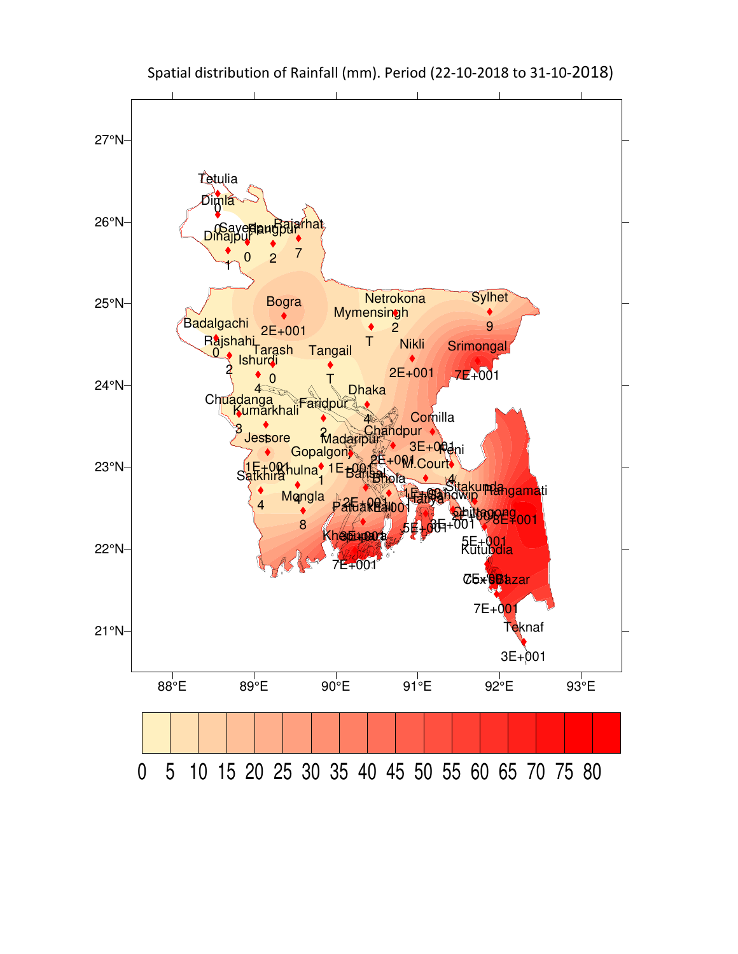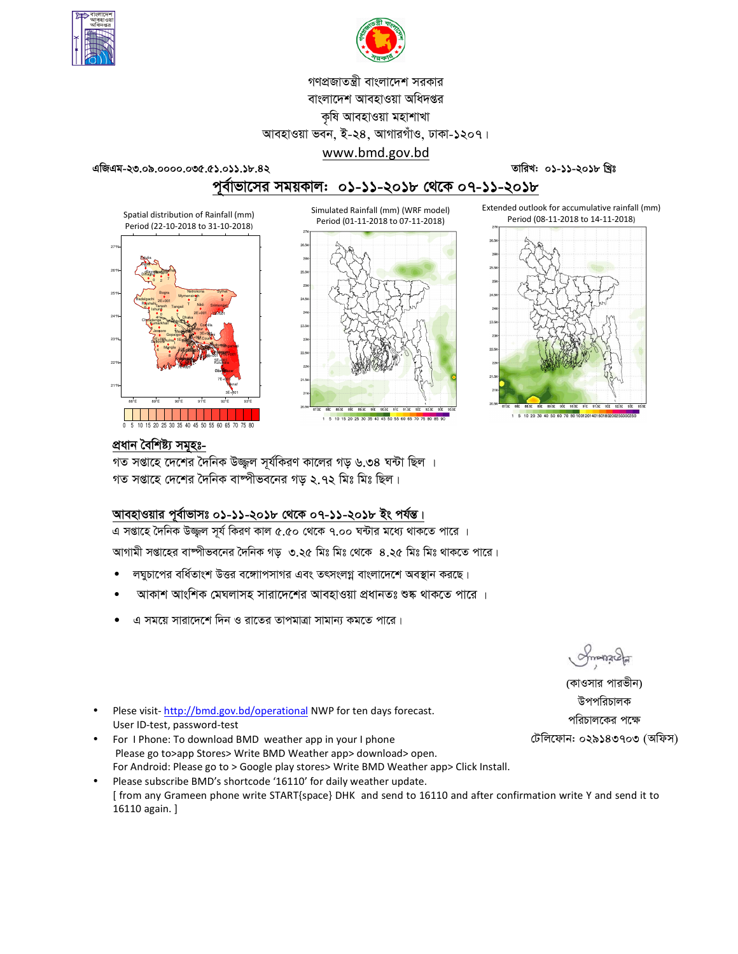



# গণপ্রজাতন্ত্রী বাংলাদেশ সরকার বাংলাদেশ আবহাওয়া অধিদপ্তর কৃষি আবহাওয়া মহাশাখা আবহাওয়া ভবন, ই-২৪, আগারগাঁও, ঢাকা-১২০৭।

www.bmd.gov.bd

 $49947 - 20.0200000000000003.35.82$ 

তারিখ: ০১-১১-২০১৮ খিঃ

Extended outlook for accumulative rainfall (mm)

পূর্বাভাসের সময়কাল: ০১-১১-২০১৮ থেকে ০৭-১১-২০১৮

Simulated Rainfall (mm) (WRF model)

Period (01-11-2018 to 07-11-2018)

Spatial distribution of Rainfall (mm) Period (22-10-2018 to 31-10-2018)





1 5 10 15 20 25 30 35 40 45 50 55 60 65 70 75 80 85 9



প্ৰধান বৈশিষ্ট্য সমূহঃ-

গত সপ্তাহে দেশের দৈনিক উজ্জল সূর্যকিরণ কালের গড় ৬.৩৪ ঘন্টা ছিল । গত সপ্তাহে দেশের দৈনিক বাষ্পীভবনের গড ২.৭২ মিঃ মিঃ ছিল।

## আবহাওয়ার পূর্বাভাসঃ ০১-১১-২০১৮ থেকে ০৭-১১-২০১৮ ইং পর্যন্ত।

এ সপ্তাহে দৈনিক উজ্জুল সূর্য কিরণ কাল ৫.৫০ থেকে ৭.০০ ঘন্টার মধ্যে থাকতে পারে । আগামী সপ্তাহের বাম্পীভবনের দৈনিক গড় ৩.২৫ মিঃ মিঃ থেকে ৪.২৫ মিঃ মিঃ থাকতে পারে।

- লঘুচাপের বর্ধিতাংশ উত্তর বঙ্গোপসাগর এবং তৎসংলগ্ন বাংলাদেশে অবস্থান করছে।
- আকাশ আংশিক মেঘলাসহ সারাদেশের আবহাওয়া প্রধানতঃ শুষ্ক থাকতে পারে ।
- এ সময়ে সারাদেশে দিন ও রাতের তাপমাত্রা সামান্য কমতে পারে।

monach

(কাওসার পারভীন) উপপরিচালক পরিচালকের পক্ষে টেলিফোন: ০২৯১৪৩৭০৩ (অফিস)

- Plese visit-http://bmd.gov.bd/operational NWP for ten days forecast. User ID-test, password-test
- For I Phone: To download BMD weather app in your I phone Please go to>app Stores> Write BMD Weather app> download> open. For Android: Please go to > Google play stores> Write BMD Weather app> Click Install.
- Please subscribe BMD's shortcode '16110' for daily weather update.  $\bullet$ [from any Grameen phone write START{space} DHK and send to 16110 and after confirmation write Y and send it to 16110 again.]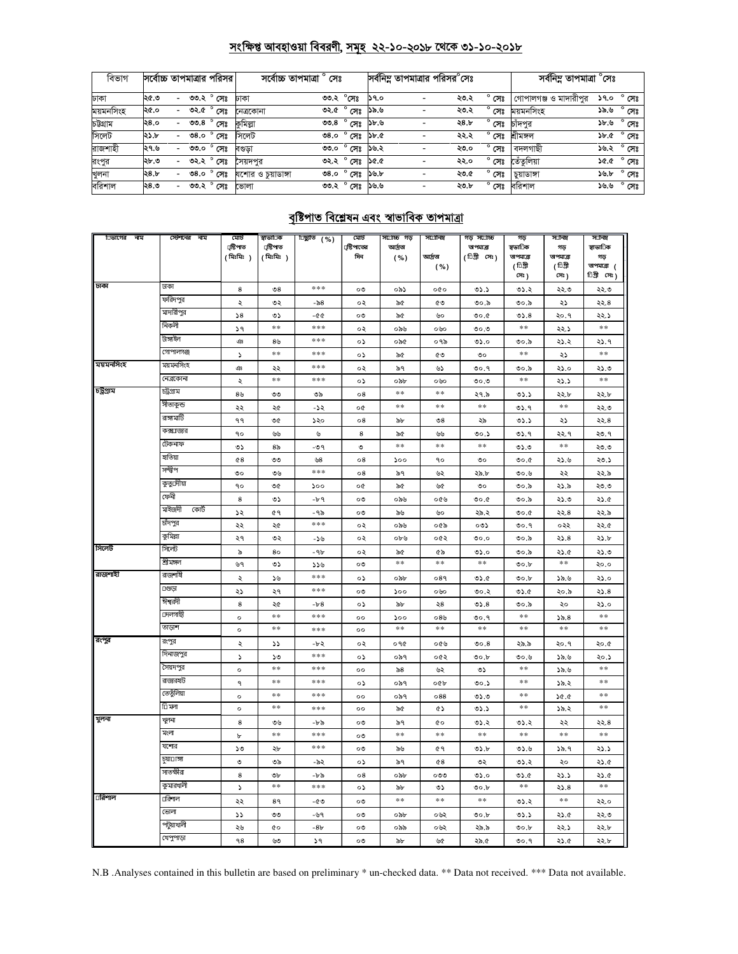## সংক্ষিপ্ত আবহাওয়া বিবরণী, সমূহ ২২-১০-২০১৮ থেকে ৩১-১০-২০১৮

| বিভাগ     | সর্বোচ্চ তাপমাত্রার পরিসর |                          |           |                |                    | সৰ্বোচ্চ তাপমাত্ৰা ° সেঃ |                        |             |                          | সর্বনিম্ন তাপমাত্রার পরিসর <sup>e</sup> সেঃ |                | সর্বনিম তাপমাত্রা $^\circ$ সেঃ |             |                |
|-----------|---------------------------|--------------------------|-----------|----------------|--------------------|--------------------------|------------------------|-------------|--------------------------|---------------------------------------------|----------------|--------------------------------|-------------|----------------|
| ঢাকা      | ২৫.৩                      | $\sim$                   |           | ৩৩.২ ° সেঃ     | ঢাকা               |                          | ৩৩.২ °সেঃ              | ১৭.০        |                          | ২৩.২                                        | সেঃ            | গোপালগঞ্জ ও মাদারীপুর          | ১৭.০        | $^{\circ}$ সেঃ |
| ময়মনসিংহ | ২৫.০                      | $\overline{\phantom{0}}$ | ৩২.৫      | $^{\circ}$ সেঃ | নেত্ৰকোনা          | ৩২.৫                     | ° সেঃ                  | ১৯.৬        |                          | ২৩.২                                        | $^{\circ}$ সেঃ | ময়মনসিংহ                      | ৬.৯১        | $^{\circ}$ সেঃ |
| চউগ্ৰাম   | ২৪.০                      | $\overline{\phantom{0}}$ | ಲಿಲಿ, $8$ | $^{\circ}$ সেঃ | কমিল্লা            | ৩৩.৪                     | $^{\circ}$ সেঃ         | ১৮.৬        |                          | ২৪.৮                                        | সেঃ            | চাঁদপুর                        | ১৮.৬        | $^{\circ}$ সেঃ |
| সিলেট     | ২১.৮                      | $\overline{\phantom{0}}$ | 08.0      | $^{\circ}$ সেঃ | সিলেট              | ৩৪.০                     | ° সেঃ                  | 5b.0c       |                          | ২২.২                                        | $^{\circ}$ সেঃ | খীমঙ্গল                        | <b>১৮.৫</b> | $^{\circ}$ সেঃ |
| রাজশাহী   | ।২৭.৬                     | $\overline{\phantom{0}}$ | ৩৩.০      | $^{\circ}$ সেঃ | বণ্ডডা             |                          | <u>৩৩.০</u> ° সেঃ      | ১৬.২        |                          | ২৩.০                                        | সেঃ            | বদলগাছী                        | ১৬.২ °      | $^{\circ}$ সেঃ |
| রংপুর     | ২৮.৩                      | $\overline{\phantom{0}}$ |           | ৩২.২ ° সেঃ     | সৈয়দপর            |                          | ৩২.২° সেঃ              | <b>SG.G</b> |                          | ২২.০                                        | $^{\circ}$ সেঃ | তেঁতুলিয়া                     | እ৫.৫        | $^{\circ}$ সেঃ |
| খুলনা     | 28.b                      | $\overline{\phantom{a}}$ | 08.0      | $^{\circ}$ সেঃ | যশোর ও চুয়াডাঙ্গা | ৩8.০                     | $^{\circ}$ সেঃ         | ১৬.৮        |                          | ২৩.৫                                        | ۰<br>সেঃ       | চুয়াডাঙ্গা                    | ১৬.৮        | সেঃ            |
| বরিশাল    | ২৪.৩                      | $\overline{\phantom{a}}$ |           | ৩৩.২ ° সেঃ     | ভোলা               |                          | <u>তত পুৰুষ্ণ ১৬.৬</u> |             | $\overline{\phantom{0}}$ | ২৩.৮                                        | $^{\circ}$ সেঃ | বরিশাল                         | ৬.৬         | $^{\circ}$ সেঃ |

## <u>বৃষ্টিপাত বিশ্লেষন এবং স্বাভাবিক তাপমাত্রা</u>

| িভাগের নাম | স্টেশনের নাম           | মোট                   | স্বাভাতিক             | <u>টিছ্যুতি (%)</u> | মোট                | সঢ়োচ্চ গড় | সর্যোনিম        | গড়স∟াচ্চ                 | গড়                  | সানিম          | সানিম            |
|------------|------------------------|-----------------------|-----------------------|---------------------|--------------------|-------------|-----------------|---------------------------|----------------------|----------------|------------------|
|            |                        | ্ৰষ্টিপাত<br>(মিঃমিঃ) | ্ৰষ্টিপাত<br>(মিঃমিঃ) |                     | ্রস্টিপাতের<br>দিন | আৰ্দ্ৰতা    | আৰ্দ্ৰতা        | তাপমাত্রা<br>(টিগ্রী সেঃ) | স্বভাতিক<br>অপমাত্রা | গড<br>অপমাত্রা | স্বাভাতিক<br>গড় |
|            |                        |                       |                       |                     |                    | ( %)        | ( %)            |                           | ( তিগ্রী             | ( তিগ্রী       | অপমাত্রা (       |
|            |                        |                       |                       |                     |                    |             |                 |                           | সেঃ)                 | সেঃ)           | ািগী সেঃ)        |
| ঢাকা       | ঢাকা                   | 8                     | $\mathcal{S}^8$       | ***                 | ০৩                 | ০৯১         | oto             | ৩১.১                      | ৩১.২                 | ২২.৩           | ২২.৩             |
|            | ফরিদপুর                | $\ddot{\phantom{0}}$  | ৩২                    | -৯৪                 | ০২                 | ৯৫          | ৫৩              | ৩০.৯                      | ৩০.৯                 | ২১             | ২২.৪             |
|            | মাদারীপুর              | 58                    | ৩১                    | -৫৫                 | ०७                 | ৯৫          | ৬০              | 0.00                      | 05.8                 | २०.१           | ২২.১             |
|            | নিকলী                  | 59                    | $\pm\pm$              | ***                 | ০২                 | ০৯৬         | ০৬০             | 0.00                      | $\pm\pm$             | ২২.১           | $\pm\pm$         |
|            | টাঙ্গাইল               | ঞ                     | 8 <sub>b</sub>        | ***                 | ০১                 | ০৯৫         | ০৭৯             | ৩১.০                      | ৩০.৯                 | ২১.২           | ২১.৭             |
|            | গোপালগঞ্জ              | $\mathcal{L}$         | $*\ast$               | ***                 | ০১                 | ৯৫          | ৫৩              | ৩০                        | **                   | ২১             | $\ast$ $\ast$    |
| ময়মনসিংহ  | ময়মনসিংহ              | ঞ                     | ২২                    | ***                 | ०२                 | ৯৭          | ৬১              | 0.9                       | ৩০.৯                 | ২১.০           | ২১.৩             |
|            | নেত্রকোনা              | ২                     | **                    | ***                 | ০১                 | ০৯৮         | ০৬০             | $\mathfrak{e}$ .0         | $**$                 | ২১.১           | **               |
| চট্টগ্ৰাম  | চট্ৰগ্ৰাম              | 8 <sub>0</sub>        | ৩৩                    | ৩৯                  | $^{\circ8}$        | $**$        | $\ast$ $\ast$   | ২৭.৯                      | ৩১.১                 | ২২.৮           | ২২.৮             |
|            | সীতাকুন্ড              | ২২                    | ২৫                    | -১২                 | o¢                 | **          | $\ast$ $\ast$   | **                        | 05.9                 | **             | ২২.৩             |
|            | রাঙ্গামাটি             | ۹۹                    | ৩৫                    | ১২০                 | 08                 | ৯৮          | $\mathcal{S}^8$ | ২৯                        | ৩১.১                 | ২১             | ২২.৪             |
|            | কক্স⊔জার               | ٩o                    | ৬৬                    | ৬                   | 8                  | ৯৫          | ৬৬              | ৩০.১                      | ৩১.৭                 | ২২.৭           | ২৩.৭             |
|            | টেকনাফ                 | ৩১                    | 8৯                    | -৩৭                 | ৩                  | $**$        | $**$            | $**$                      | ৩১.৩                 | $**$           | ২৩.৩             |
|            | হাতিয়া                | 68                    | ಀಀ                    | ৬৪                  | $\circ 8$          | 500         | ٩o              | ৩০                        | 0.00                 | ২১.৬           | ২৩.১             |
|            | সন্দ্বীপ               | ৩০                    | ৩৬                    | ***                 | $\circ$ 8          | ৯৭          | ৬২              | ২৯.৮                      | 0.00                 | ২২             | ২২.৯             |
|            | কুতুদৌয়া              | ٩o                    | ৩৫                    | ১০০                 | o¢                 | ৯৫          | ৬৫              | ৩০                        | ৩০.৯                 | ২১.৯           | ২৩.৩             |
|            | ফেনী                   | 8                     | ৩১                    | $-b$ ۹              | ০৩                 | ০৯৬         | ০৫৬             | 0.00                      | ৩০.৯                 | ২১.৩           | ২১.৫             |
|            | মাইজদী<br>কোট          | ১২                    | 69                    | -৭৯                 | ೲ                  | ৯৬          | ৬০              | ২৯.২                      | 0.00                 | ২২.৪           | ২২.৯             |
|            | চাঁদপুর                | ২২                    | ২৫                    | $***$               | ০২                 | ০৯৬         | ০৫৯             | ০৩১                       | ৩০.৭                 | ০২২            | ২২.৫             |
|            | কুমিল্লা               | ২৭                    | ৩২                    | -১৬                 | ০২                 | ০৮৬         | ০৫২             | $\circ \circ$             | ৩০.৯                 | 35.8           | ২১.৮             |
| সিলেট      | সিলেট                  | ৯                     | 80                    | -96                 | ০২                 | ৯৫          | ৫৯              | ৩১.০                      | ৩০.৯                 | ২১.৫           | ২১.৩             |
|            | শ্ৰীমঙ্গল              | ৬৭                    | ৩১                    | 556                 | ೲ                  | **          | $**$            | **                        | 00.b                 | $**$           | ২০.০             |
| রাজশাহী    | রাজশাষী                | ২                     | ১৬                    | ***                 | ०১                 | ০৯৮         | 089             | ৩১.৫                      | 00.b                 | ১৯.৬           | ২১.০             |
|            | ⊔গুড়া                 | ২১                    | ২৭                    | ***                 | ০৩                 | 500         | ০৬০             | ৩০.২                      | ৩১.৫                 | ২০.৯           | 25.8             |
|            | ঈশ্বরদী                | 8                     | ২৫                    | $-b-8$              | ০১                 | ৯৮          | ২8              | 05.8                      | ৩০.৯                 | ২০             | ২১.০             |
|            | ⊔দলগাছী                | $\circ$               | **                    | ***                 | $\circ$            | 500         | ০ $8$ ৬         | 00.9                      | **                   | ১৯. $8$        | $**$             |
| রংপুর      | তাডাশ                  | $\circ$               | $**$                  | $* * *$             | $\circ$            | $**$        | $\ast$ $\ast$   | $\ast$ $\ast$             | $**$                 | $\ast$         | $\ast$ $\ast$    |
|            | রংপুর                  | ২                     | ১১                    | -৮২                 | ০২                 | ०१৫         | ০৫৬             | 00.8                      | ২৯.৯                 | २०.१           | ২০.৫             |
|            | দিনাজপুর               | 5                     | ১৩                    | ***                 | ०১                 | ০৯৭         | ०৫২             | 0.5                       | ৩০.৬                 | ১৯.৬           | ২০.১             |
|            | সৈয়দপুর               | $\circ$               | **                    | ***                 | $\circ$            | ৯ $8$       | ৬২              | ৩১                        | **                   | 38.6           | $**$             |
|            | রাজারহাট<br>তেতুঁলিয়া | ٩                     | $**$                  | ***                 | ०১                 | ০৯৭         | O               | ৩০.১                      | **                   | ১৯.২           | $\ast\ast$       |
|            | টি মলা                 | $\circ$               | $\pm\pm$              | ***                 | $^{\circ}$         | ০৯৭         | 088             | ৩১.৩                      | **                   | 50.0           | $\ast$ $\ast$    |
| খুলনা      |                        | $\circ$               | $**$                  | ***                 | $\circ$            | ৯৫          | ৫১              | ৩১.১                      | $**$                 | ১৯.২           | $\ast\ast$       |
|            | খুলনা<br>মংলা          | 8                     | ৩৬                    | -৮৯                 | ০৩                 | ৯৭          | Q0              | ৩১.২                      | ৩১.২                 | ২২             | ২২.৪             |
|            | যশোর                   | b                     | $\pm\pm$              | $* * *$             | ০৩                 | $\pm\pm$    | $\ast$          | $\pm\pm$                  | $\ast$               | $**$           | $\ast$           |
|            | চ্য়া□™                | ১৩                    | ২৮                    | ***                 | ০৩                 | ৯৬          | ৫ ৭             | 0.5                       | ৩১.৬                 | ১৯.৭           | ২১.১             |
|            | সাতক্ষীরা              | ৩                     | ৩৯                    | -৯২                 | ০১                 | ৯৭          | 68              | ৩২                        | ৩১.২                 | ২০             | ২১.৫             |
|            | কুমারখালী              | 8                     | ৩৮                    | -৮৯                 | $\circ$ 8          | ০৯৮         | ೲಀ              | 0.40                      | 05.6                 | ২১.১           | 23.0<br>$* *$    |
| ারিশাল     | ⊔রিশাল                 | J.                    | **                    | ***                 | ०১                 | ৯৮          | ৩১              | 0.5                       | **                   | 25.8           |                  |
|            | ভোলা                   | ২২                    | 8٩                    | -৫৩                 | ০৩                 | $\pm\pm$    | $\ast$ $\ast$   | $\pm\pm$                  | ৩১.২                 | $\ast$ $\ast$  | ২২.০             |
|            | পটুয়াখালী             | ১১                    | $\circ\circ$          | -৬৭                 | ೲ                  | ০৯৮         | ০৬২             | 0.5                       | ৩১.১                 | ২১.৫           | ২২.৩             |
|            |                        | ২৬                    | 6o                    | $-8b$               | ০৩                 | ০৯৯         | ০৬২             | ২৯.৯                      | 00.b                 | ২২.১           | ২২.৮             |
|            | খেপুপাড়া              | 98                    | ৬৩                    | 59                  | ০৩                 | ৯৮          | ৬৫              | ২৯.৫                      | 00.9                 | ২১.৫           | ২২.৮             |

N.B .Analyses contained in this bulletin are based on preliminary \* un-checked data. \*\* Data not received. \*\*\* Data not available.